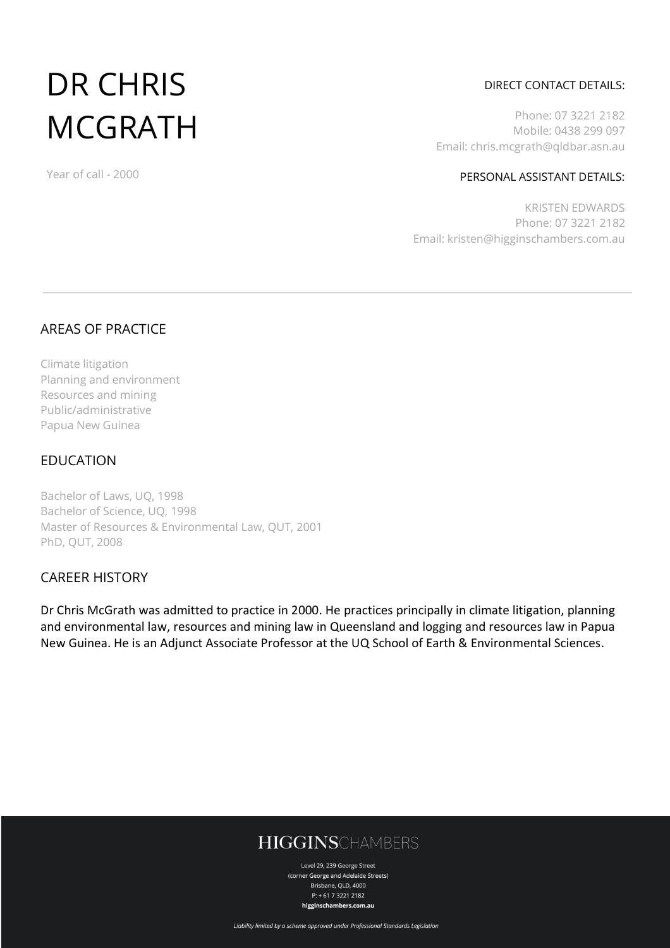# DR CHRIS **MCGRATH**

#### DIRECT CONTACT DETAILS:

Phone: 07 3221 2182 Mobile: 0438 299 097 Email: chris.mcgrath@qldbar.asn.au

#### PERSONAL ASSISTANT DETAILS:

KRISTEN EDWARDS Phone: 07 3221 2182 Email: kristen@higginschambers.com.au

## AREAS OF PRACTICE

Year of call - 2000

Climate litigation Planning and environment Resources and mining Public/administrative Papua New Guinea

## EDUCATION

Bachelor of Laws, UQ, 1998 Bachelor of Science, UQ, 1998 Master of Resources & Environmental Law, QUT, 2001 PhD, QUT, 2008

## CAREER HISTORY

Dr Chris McGrath was admitted to practice in 2000. He practices principally in climate litigation, planning and environmental law, resources and mining law in Queensland and logging and resources law in Papua New Guinea. He is an Adjunct Associate Professor at the UQ [School of Earth & Environmental Sciences.](https://sees.uq.edu.au/)

# **HIGGINSCHAMBERS**

Level 29, 239 George Street (corner George and Adelaide Streets) Brisbane, QLD, 4000  $P: +61732212182$ higginschambers.com.au

Liability limited by a scheme approved under Professional Standards Legislation